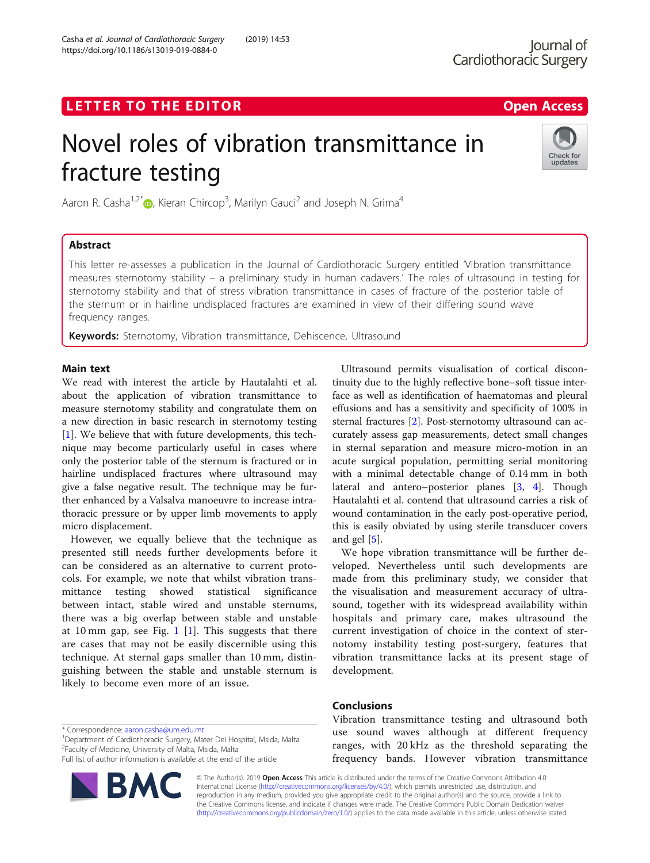https://doi.org/10.1186/s13019-019-0884-0

Casha et al. Journal of Cardiothoracic Surgery (2019) 14:53

# Novel roles of vibration transmittance in fracture testing



Aaron R. Casha<sup>1,2[\\*](http://orcid.org/0000-0002-7156-5696)</sup> (**b**, Kieran Chircop<sup>3</sup>, Marilyn Gauci<sup>2</sup> and Joseph N. Grima<sup>4</sup>

# **Abstract**

This letter re-assesses a publication in the Journal of Cardiothoracic Surgery entitled 'Vibration transmittance measures sternotomy stability – a preliminary study in human cadavers.' The roles of ultrasound in testing for sternotomy stability and that of stress vibration transmittance in cases of fracture of the posterior table of the sternum or in hairline undisplaced fractures are examined in view of their differing sound wave frequency ranges.

**Keywords:** Sternotomy, Vibration transmittance, Dehiscence, Ultrasound

wand text.<br>We read with interest the article by Hautalahti et al. about the application of vibration transmittance to measure sternotomy stability and congratulate them on a new direction in basic research in sternotomy testing [[1\]](#page-1-0). We believe that with future developments, this technique may become particularly useful in cases where only the posterior table of the sternum is fractured or in hairline undisplaced fractures where ultrasound may give a false negative result. The technique may be further enhanced by a Valsalva manoeuvre to increase intrathoracic pressure or by upper limb movements to apply micro displacement.

However, we equally believe that the technique as presented still needs further developments before it can be considered as an alternative to current protocols. For example, we note that whilst vibration transmittance testing showed statistical significance between intact, stable wired and unstable sternums, there was a big overlap between stable and unstable at [1](#page-1-0)0 mm gap, see Fig.  $1$  [[1\]](#page-1-0). This suggests that there are cases that may not be easily discernible using this technique. At sternal gaps smaller than 10 mm, distinguishing between the stable and unstable sternum is likely to become even more of an issue.

Ultrasound permits visualisation of cortical discontinuity due to the highly reflective bone–soft tissue interface as well as identification of haematomas and pleural effusions and has a sensitivity and specificity of 100% in sternal fractures [\[2](#page-1-0)]. Post-sternotomy ultrasound can accurately assess gap measurements, detect small changes in sternal separation and measure micro-motion in an acute surgical population, permitting serial monitoring with a minimal detectable change of 0.14 mm in both lateral and antero–posterior planes [[3,](#page-1-0) [4](#page-1-0)]. Though Hautalahti et al. contend that ultrasound carries a risk of wound contamination in the early post-operative period, this is easily obviated by using sterile transducer covers and gel  $[5]$  $[5]$ .

We hope vibration transmittance will be further developed. Nevertheless until such developments are made from this preliminary study, we consider that the visualisation and measurement accuracy of ultrasound, together with its widespread availability within hospitals and primary care, makes ultrasound the current investigation of choice in the context of sternotomy instability testing post-surgery, features that vibration transmittance lacks at its present stage of development.

\* Correspondence: [aaron.casha@um.edu.mt](mailto:aaron.casha@um.edu.mt) <sup>1</sup>

<sup>1</sup>Department of Cardiothoracic Surgery, Mater Dei Hospital, Msida, Malta <sup>2</sup> Faculty of Medicine, University of Malta, Msida, Malta

Full list of author information is available at the end of the article



Vibration transmittance testing and ultrasound both use sound waves although at different frequency ranges, with 20 kHz as the threshold separating the frequency bands. However vibration transmittance

© The Author(s). 2019 Open Access This article is distributed under the terms of the Creative Commons Attribution 4.0 International License [\(http://creativecommons.org/licenses/by/4.0/](http://creativecommons.org/licenses/by/4.0/)), which permits unrestricted use, distribution, and reproduction in any medium, provided you give appropriate credit to the original author(s) and the source, provide a link to the Creative Commons license, and indicate if changes were made. The Creative Commons Public Domain Dedication waiver [\(http://creativecommons.org/publicdomain/zero/1.0/](http://creativecommons.org/publicdomain/zero/1.0/)) applies to the data made available in this article, unless otherwise stated.